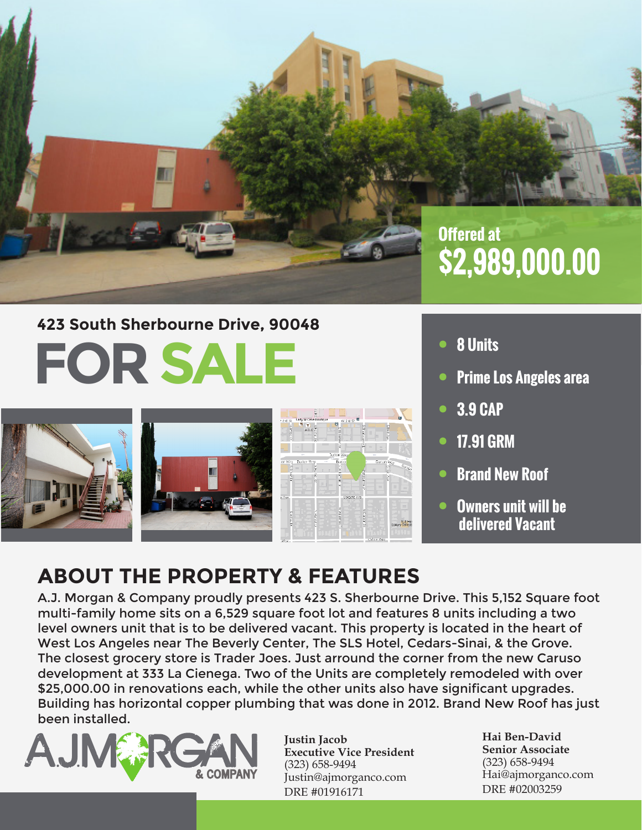

# **FOR SALE 423 South Sherbourne Drive, 90048**







- **• 8 Units**
- **• Prime Los Angeles area**
- **• 3.9 CAP**
- **• 17.91 GRM**
- **• Brand New Roof**
- **• Owners unit will be delivered Vacant**

### **ABOUT THE PROPERTY & FEATURES**

A.J. Morgan & Company proudly presents 423 S. Sherbourne Drive. This 5,152 Square foot multi-family home sits on a 6,529 square foot lot and features 8 units including a two level owners unit that is to be delivered vacant. This property is located in the heart of West Los Angeles near The Beverly Center, The SLS Hotel, Cedars-Sinai, & the Grove. The closest grocery store is Trader Joes. Just arround the corner from the new Caruso development at 333 La Cienega. Two of the Units are completely remodeled with over \$25,000.00 in renovations each, while the other units also have significant upgrades. Building has horizontal copper plumbing that was done in 2012. Brand New Roof has just been installed.



**Justin Jacob Executive Vice President** (323) 658-9494 Justin@ajmorganco.com DRE #01916171

**Hai Ben-David Senior Associate** (323) 658-9494 Hai@ajmorganco.com DRE #02003259